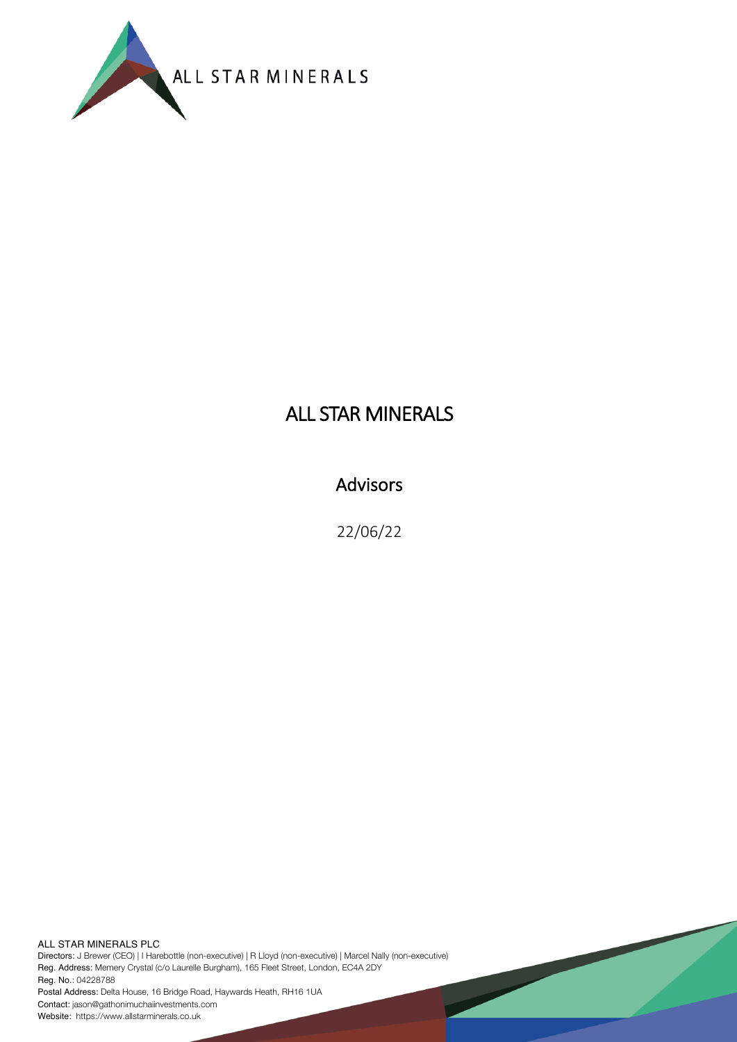

# ALL STAR MINERALS

## Advisors

22/06/22

ALL STAR MINERALS PLC Directors: J Brewer (CEO) | I Harebottle (non-executive) | R Lloyd (non-executive) | Marcel Nally (non-executive) Reg. Address: Memery Crystal (c/o Laurelle Burgham), 165 Fleet Street, London, EC4A 2DY Reg. No.: 04228788 Postal Address: Delta House, 16 Bridge Road, Haywards Heath, RH16 1UA Contact: jason@gathonimuchaiinvestments.com

Website: https://www.allstarminerals.co.uk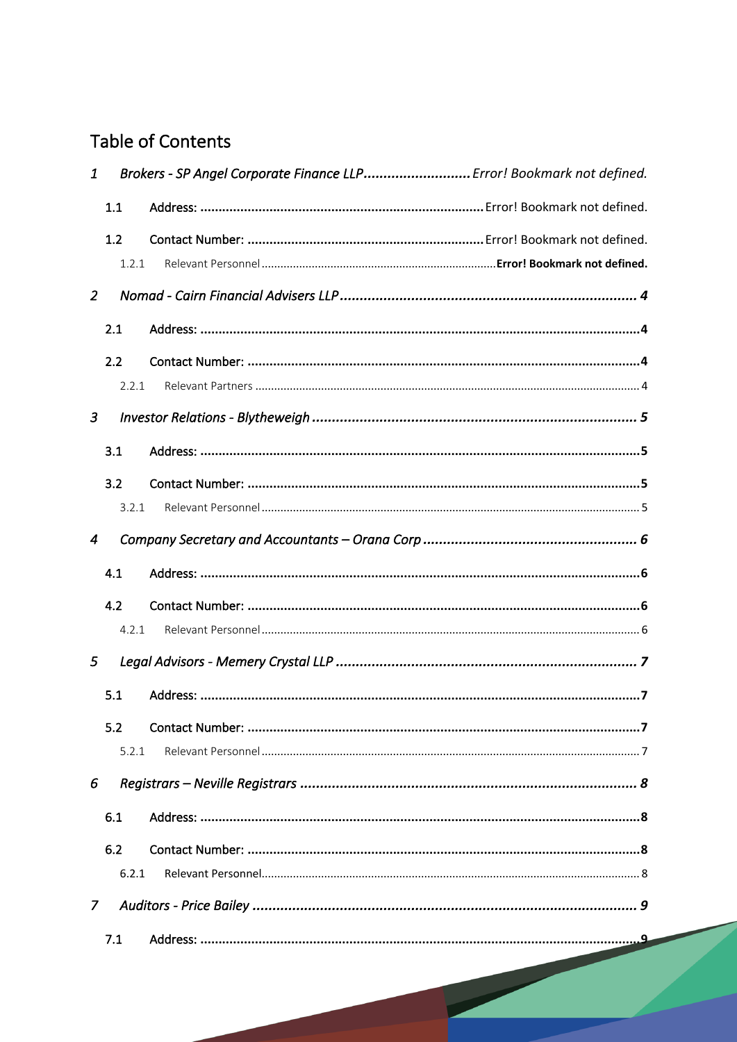# **Table of Contents**

| 1              |       | Brokers - SP Angel Corporate Finance LLP Error! Bookmark not defined. |  |  |
|----------------|-------|-----------------------------------------------------------------------|--|--|
|                | 1.1   |                                                                       |  |  |
|                | 1.2   |                                                                       |  |  |
|                | 1.2.1 |                                                                       |  |  |
| 2              |       |                                                                       |  |  |
|                | 2.1   |                                                                       |  |  |
|                | 2.2   |                                                                       |  |  |
|                | 2.2.1 |                                                                       |  |  |
| 3              |       |                                                                       |  |  |
|                | 3.1   |                                                                       |  |  |
|                | 3.2   |                                                                       |  |  |
|                | 3.2.1 |                                                                       |  |  |
| 4              |       |                                                                       |  |  |
|                | 4.1   |                                                                       |  |  |
|                | 4.2   |                                                                       |  |  |
|                | 4.2.1 |                                                                       |  |  |
| 5              |       |                                                                       |  |  |
|                | 5.1   |                                                                       |  |  |
|                | 5.2   |                                                                       |  |  |
|                | 5.2.1 |                                                                       |  |  |
| 6              |       |                                                                       |  |  |
|                | 6.1   |                                                                       |  |  |
|                | 6.2   |                                                                       |  |  |
|                | 6.2.1 |                                                                       |  |  |
| $\overline{7}$ |       |                                                                       |  |  |
|                | 7.1   |                                                                       |  |  |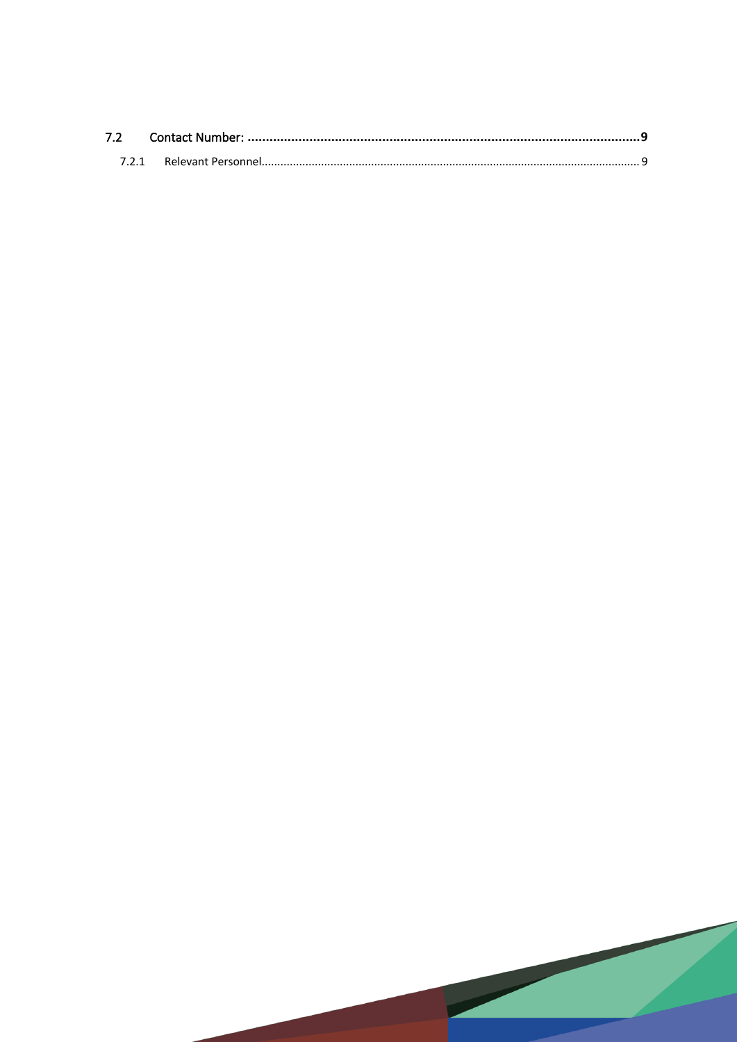| 7.2 |  |
|-----|--|
|     |  |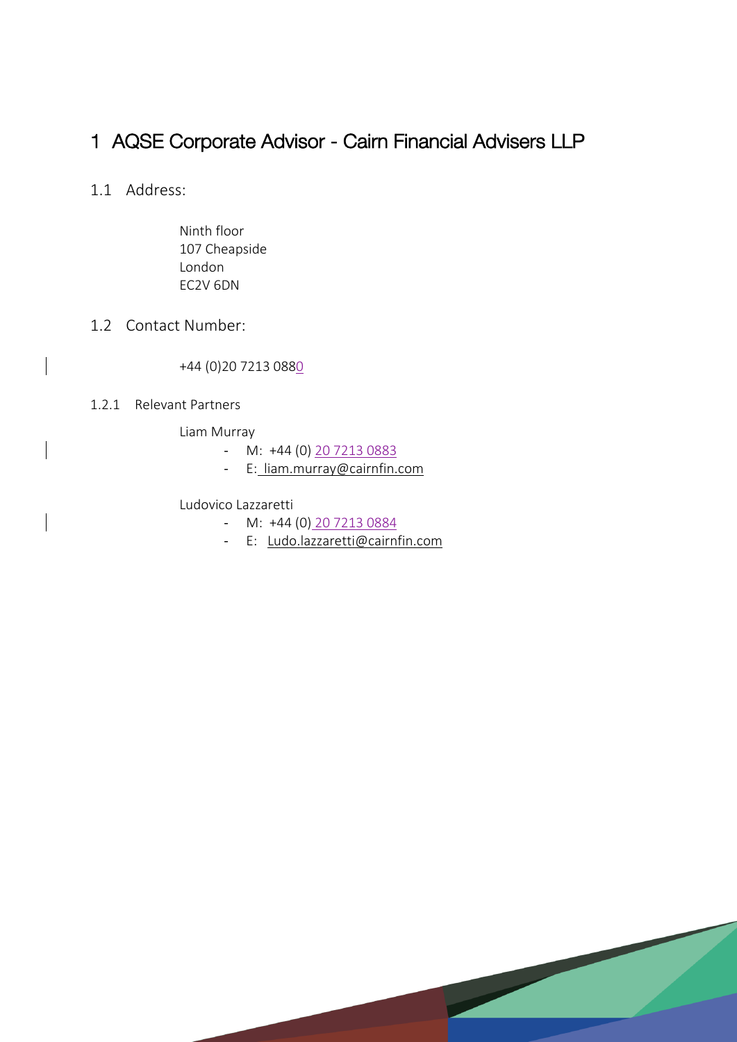## 1 AQSE Corporate Advisor - Cairn Financial Advisers LLP

- 1.1 Address:
	- Ninth floor 107 Cheapside London EC2V 6DN

### 1.2 Contact Number:

+44 (0)20 7213 0880

#### 1.2.1 Relevant Partners

Liam Murray

- M: +44 (0) 20 7213 0883
- E: liam.murray@cairnfin.com

#### Ludovico Lazzaretti

- M: +44 (0) 20 7213 0884
- E: Ludo.lazzaretti@cairnfin.com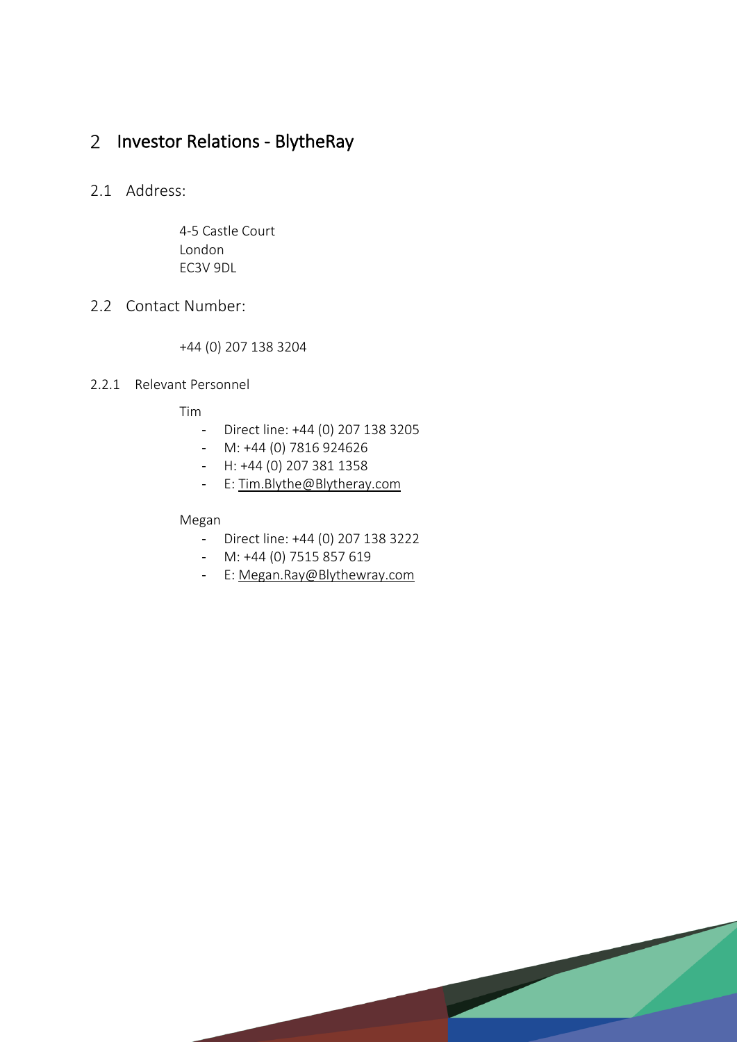## 2 Investor Relations - BlytheRay

### 2.1 Address:

4-5 Castle Court London EC3V 9DL

### 2.2 Contact Number:

+44 (0) 207 138 3204

### 2.2.1 Relevant Personnel

Tim

- Direct line: +44 (0) 207 138 3205
- M: +44 (0) 7816 924626
- H: +44 (0) 207 381 1358
- E: Tim.Blythe@Blytheray.com

#### Megan

- Direct line: +44 (0) 207 138 3222
- M: +44 (0) 7515 857 619
- E: Megan.Ray@Blythewray.com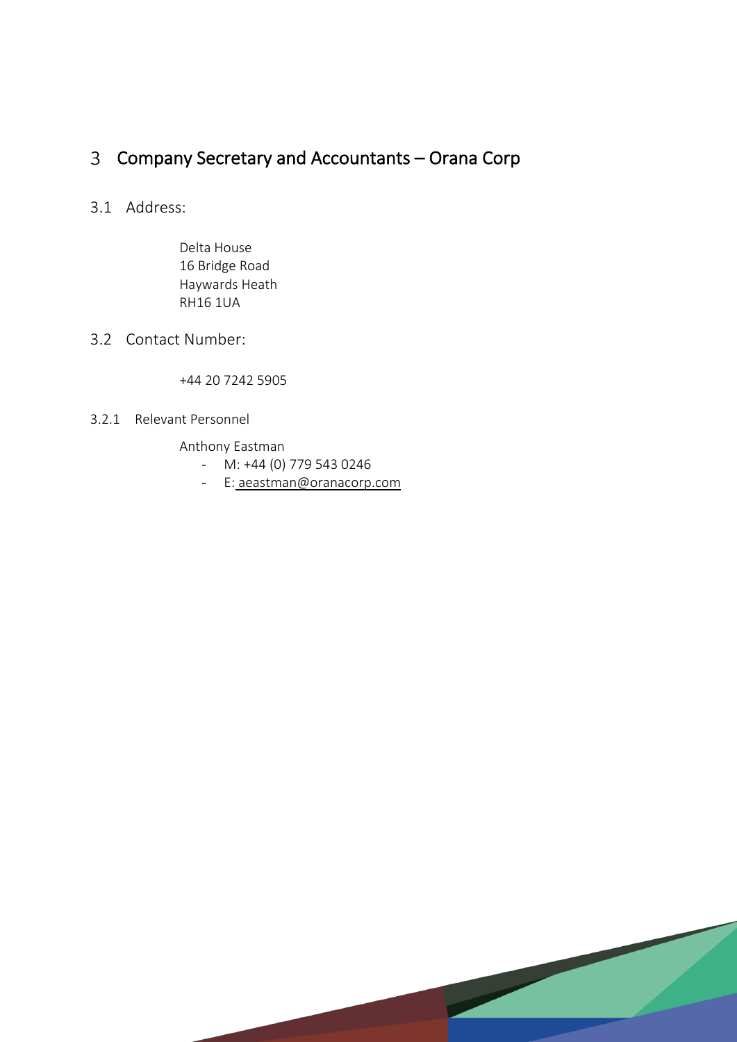# Company Secretary and Accountants – Orana Corp

### 3.1 Address:

Delta House 16 Bridge Road Haywards Heath RH16 1UA

### 3.2 Contact Number:

+44 20 7242 5905

### 3.2.1 Relevant Personnel

Anthony Eastman

- M: +44 (0) 779 543 0246
- E: aeastman@oranacorp.com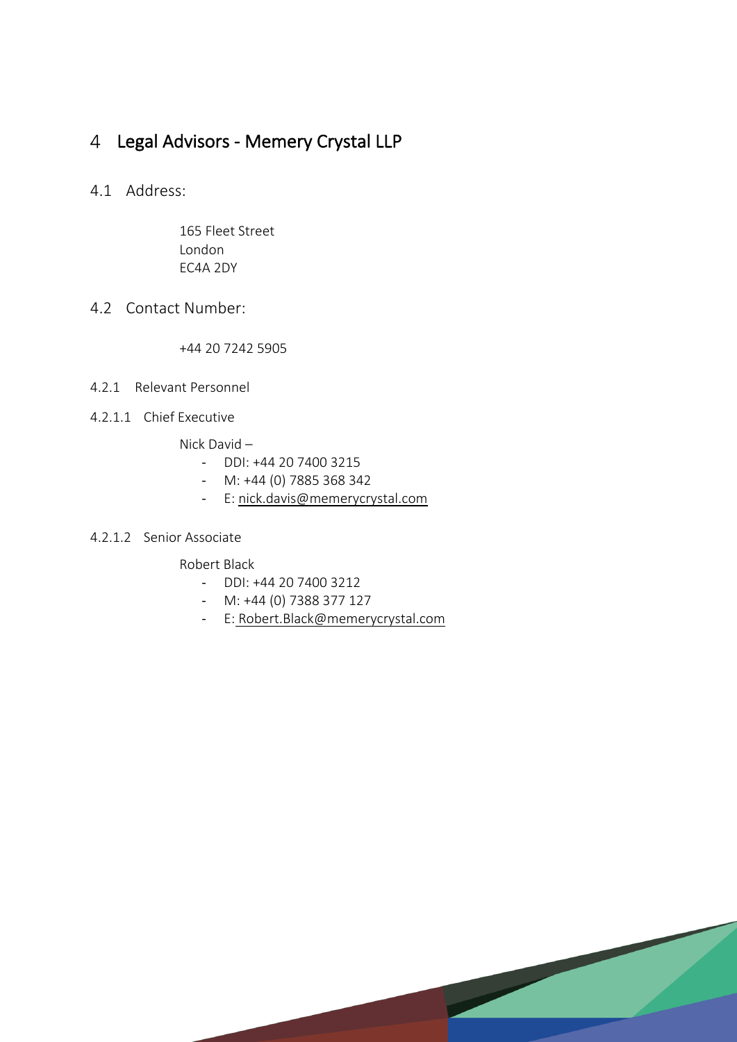## Legal Advisors - Memery Crystal LLP

4.1 Address:

165 Fleet Street London EC4A 2DY

4.2 Contact Number:

+44 20 7242 5905

- 4.2.1 Relevant Personnel
- 4.2.1.1 Chief Executive

Nick David –

- DDI: +44 20 7400 3215
- M: +44 (0) 7885 368 342
- E: nick.davis@memerycrystal.com

### 4.2.1.2 Senior Associate

Robert Black

- DDI: +44 20 7400 3212
- M: +44 (0) 7388 377 127
- E: Robert.Black@memerycrystal.com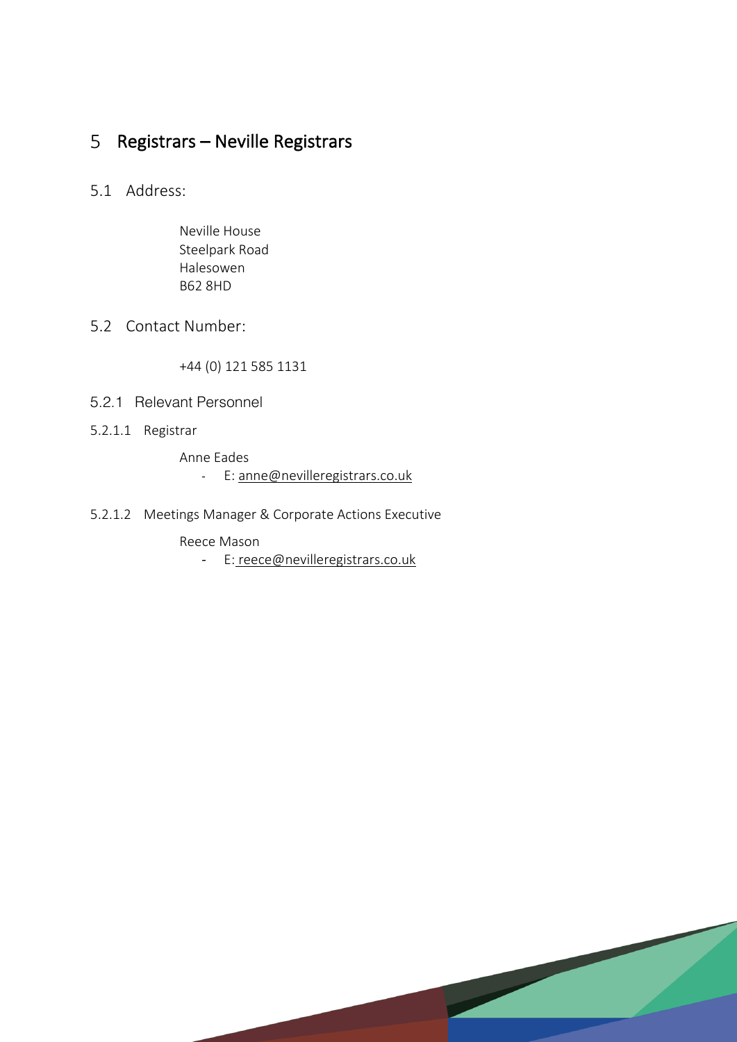## 5 Registrars – Neville Registrars

### 5.1 Address:

Neville House Steelpark Road Halesowen B62 8HD

### 5.2 Contact Number:

+44 (0) 121 585 1131

- 5.2.1 Relevant Personnel
- 5.2.1.1 Registrar

Anne Eades - E: anne@nevilleregistrars.co.uk

5.2.1.2 Meetings Manager & Corporate Actions Executive

Reece Mason

- E: reece@nevilleregistrars.co.uk